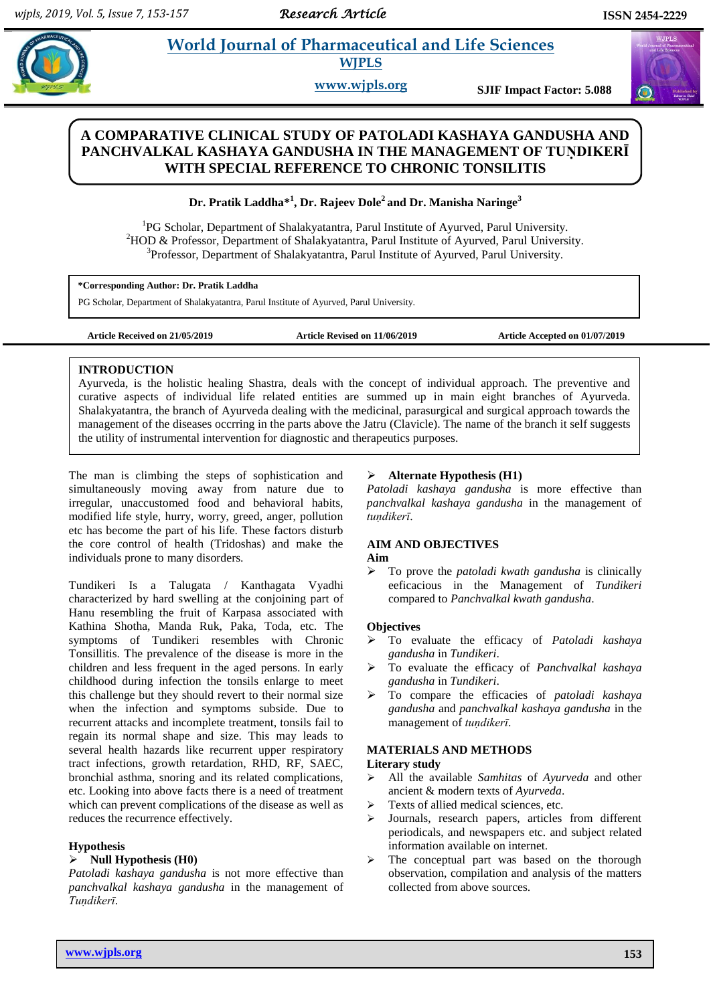# **Paramaceutical and Life Sciences WJPLS**

**www.wjpls.org SJIF Impact Factor: 5.088**

# **A COMPARATIVE CLINICAL STUDY OF PATOLADI KASHAYA GANDUSHA AND**  PANCHVALKAL KASHAYA GANDUSHA IN THE MANAGEMENT OF TUNDIKERI **WITH SPECIAL REFERENCE TO CHRONIC TONSILITIS**

# **Dr. Pratik Laddha\* 1 , Dr. Rajeev Dole<sup>2</sup> and Dr. Manisha Naringe<sup>3</sup>**

<sup>1</sup>PG Scholar, Department of Shalakyatantra, Parul Institute of Ayurved, Parul University. <sup>2</sup>HOD & Professor, Department of Shalakyatantra, Parul Institute of Ayurved, Parul University. <sup>3</sup>Professor, Department of Shalakyatantra, Parul Institute of Ayurved, Parul University.

**\*Corresponding Author: Dr. Pratik Laddha**

PG Scholar, Department of Shalakyatantra, Parul Institute of Ayurved, Parul University.

**Article Received on 21/05/2019 Article Revised on 11/06/2019 Article Accepted on 01/07/2019**

#### **INTRODUCTION**

Ayurveda, is the holistic healing Shastra, deals with the concept of individual approach. The preventive and curative aspects of individual life related entities are summed up in main eight branches of Ayurveda. Shalakyatantra, the branch of Ayurveda dealing with the medicinal, parasurgical and surgical approach towards the management of the diseases occrring in the parts above the Jatru (Clavicle). The name of the branch it self suggests the utility of instrumental intervention for diagnostic and therapeutics purposes.

The man is climbing the steps of sophistication and simultaneously moving away from nature due to irregular, unaccustomed food and behavioral habits, modified life style, hurry, worry, greed, anger, pollution etc has become the part of his life. These factors disturb the core control of health (Tridoshas) and make the individuals prone to many disorders.

Tundikeri Is a Talugata / Kanthagata Vyadhi characterized by hard swelling at the conjoining part of Hanu resembling the fruit of Karpasa associated with Kathina Shotha, Manda Ruk, Paka, Toda, etc. The symptoms of Tundikeri resembles with Chronic Tonsillitis. The prevalence of the disease is more in the children and less frequent in the aged persons. In early childhood during infection the tonsils enlarge to meet this challenge but they should revert to their normal size when the infection and symptoms subside. Due to recurrent attacks and incomplete treatment, tonsils fail to regain its normal shape and size. This may leads to several health hazards like recurrent upper respiratory tract infections, growth retardation, RHD, RF, SAEC, bronchial asthma, snoring and its related complications, etc. Looking into above facts there is a need of treatment which can prevent complications of the disease as well as reduces the recurrence effectively.

#### **Hypothesis**

# **Null Hypothesis (H0)**

*Patoladi kashaya gandusha* is not more effective than *panchvalkal kashaya gandusha* in the management of *Tuṇdikerī*.

## **Alternate Hypothesis (H1)**

*Patoladi kashaya gandusha* is more effective than *panchvalkal kashaya gandusha* in the management of *tuṇdikerī*.

## **AIM AND OBJECTIVES**

#### **Aim**

 To prove the *patoladi kwath gandusha* is clinically eeficacious in the Management of *Tundikeri* compared to *Panchvalkal kwath gandusha*.

#### **Objectives**

- To evaluate the efficacy of *Patoladi kashaya gandusha* in *Tundikeri*.
- To evaluate the efficacy of *Panchvalkal kashaya gandusha* in *Tundikeri*.
- To compare the efficacies of *patoladi kashaya gandusha* and *panchvalkal kashaya gandusha* in the management of *tuṇdikerī*.

#### **MATERIALS AND METHODS**

# **Literary study**

- All the available *Samhitas* of *Ayurveda* and other ancient & modern texts of *Ayurveda*.
- $\triangleright$  Texts of allied medical sciences, etc.
- Journals, research papers, articles from different periodicals, and newspapers etc. and subject related information available on internet.
- > The conceptual part was based on the thorough observation, compilation and analysis of the matters collected from above sources.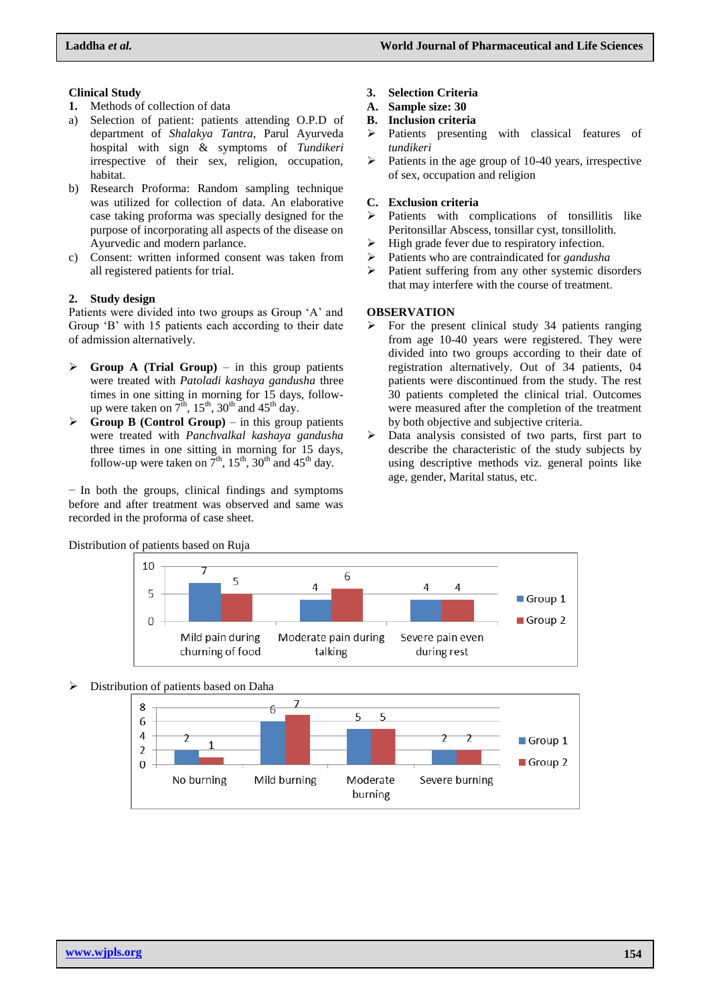# **Clinical Study**

- **1.** Methods of collection of data
- a) Selection of patient: patients attending O.P.D of department of *Shalakya Tantra*, Parul Ayurveda hospital with sign & symptoms of *Tundikeri* irrespective of their sex, religion, occupation, habitat.
- b) Research Proforma: Random sampling technique was utilized for collection of data. An elaborative case taking proforma was specially designed for the purpose of incorporating all aspects of the disease on Ayurvedic and modern parlance.
- c) Consent: written informed consent was taken from all registered patients for trial.

# **2. Study design**

Patients were divided into two groups as Group 'A' and Group 'B' with 15 patients each according to their date of admission alternatively.

- $\triangleright$  **Group A (Trial Group)** in this group patients were treated with *Patoladi kashaya gandusha* three times in one sitting in morning for 15 days, followup were taken on  $7<sup>th</sup>$ ,  $15<sup>th</sup>$ ,  $30<sup>th</sup>$  and  $45<sup>th</sup>$  day.
- $\triangleright$  **Group B (Control Group)** in this group patients were treated with *Panchvalkal kashaya gandusha*  three times in one sitting in morning for 15 days, follow-up were taken on  $7<sup>th</sup>$ , 15<sup>th</sup>, 30<sup>th</sup> and 45<sup>th</sup> day.

− In both the groups, clinical findings and symptoms before and after treatment was observed and same was recorded in the proforma of case sheet.

- **3. Selection Criteria**
- **A. Sample size: 30**
- **B. Inclusion criteria**
- $\triangleright$  Patients presenting with classical features of *tundikeri*
- $\triangleright$  Patients in the age group of 10-40 years, irrespective of sex, occupation and religion

#### **C. Exclusion criteria**

- $\triangleright$  Patients with complications of tonsillitis like Peritonsillar Abscess, tonsillar cyst, tonsillolith.
- $\triangleright$  High grade fever due to respiratory infection.
- Patients who are contraindicated for *gandusha*
- $\triangleright$  Patient suffering from any other systemic disorders that may interfere with the course of treatment.

#### **OBSERVATION**

- $\triangleright$  For the present clinical study 34 patients ranging from age 10-40 years were registered. They were divided into two groups according to their date of registration alternatively. Out of 34 patients, 04 patients were discontinued from the study. The rest 30 patients completed the clinical trial. Outcomes were measured after the completion of the treatment by both objective and subjective criteria.
- $\triangleright$  Data analysis consisted of two parts, first part to describe the characteristic of the study subjects by using descriptive methods viz. general points like age, gender, Marital status, etc.



# Distribution of patients based on Ruja

# Distribution of patients based on Daha

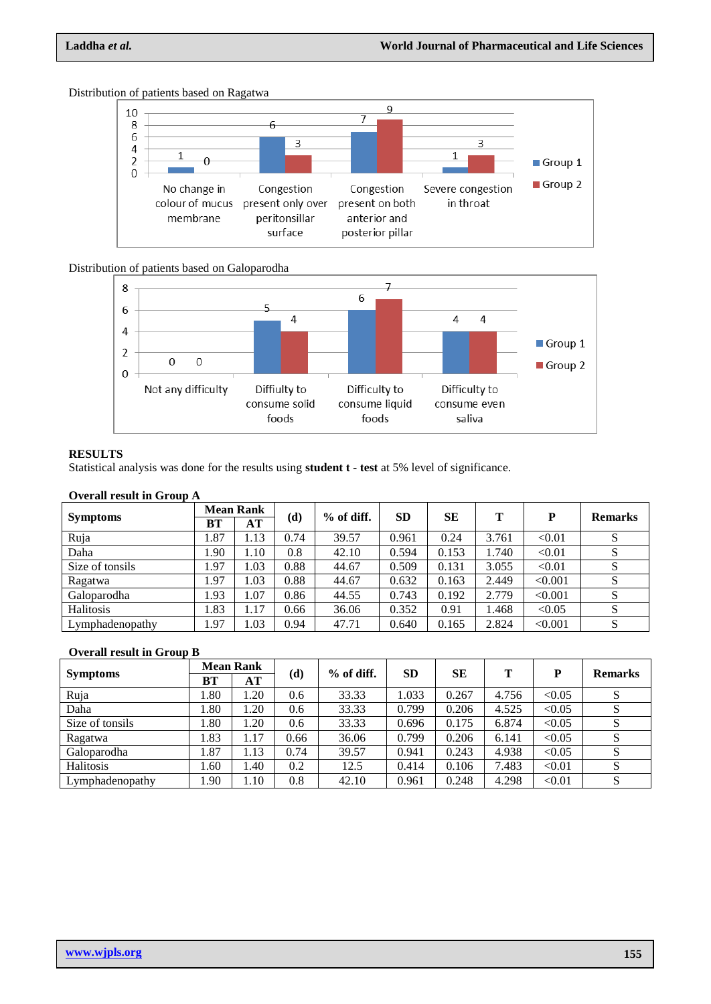

Distribution of patients based on Ragatwa

# Distribution of patients based on Galoparodha



## **RESULTS**

Statistical analysis was done for the results using **student t - test** at 5% level of significance.

# **Overall result in Group A**

| <b>Symptoms</b> | <b>Mean Rank</b> |       |      | $%$ of diff. | <b>SD</b> | SЕ    | Т     | P       | <b>Remarks</b> |
|-----------------|------------------|-------|------|--------------|-----------|-------|-------|---------|----------------|
|                 | BT               | AT    | (d)  |              |           |       |       |         |                |
| Ruja            | 1.87             | 1.13  | 0.74 | 39.57        | 0.961     | 0.24  | 3.761 | < 0.01  | S              |
| Daha            | 1.90             | 1.10  | 0.8  | 42.10        | 0.594     | 0.153 | .740  | < 0.01  | S              |
| Size of tonsils | 1.97             | 1.03  | 0.88 | 44.67        | 0.509     | 0.131 | 3.055 | < 0.01  | S              |
| Ragatwa         | 97،              | L.03  | 0.88 | 44.67        | 0.632     | 0.163 | 2.449 | < 0.001 | S              |
| Galoparodha     | 1.93             | 1.07  | 0.86 | 44.55        | 0.743     | 0.192 | 2.779 | < 0.001 | S              |
| Halitosis       | 1.83             | 1.17  | 0.66 | 36.06        | 0.352     | 0.91  | 1.468 | < 0.05  | S              |
| Lymphadenopathy | 1.97             | . .03 | 0.94 | 47.71        | 0.640     | 0.165 | 2.824 | < 0.001 | S              |

#### **Overall result in Group B**

| <b>Symptoms</b> | <b>Mean Rank</b> |      |      | $%$ of diff. | <b>SD</b> | SE    | т     | P      | <b>Remarks</b> |
|-----------------|------------------|------|------|--------------|-----------|-------|-------|--------|----------------|
|                 | <b>BT</b>        | AT   | (d)  |              |           |       |       |        |                |
| Ruja            | 08.1             | .20  | 0.6  | 33.33        | 1.033     | 0.267 | 4.756 | < 0.05 | S              |
| Daha            | 1.80             | 1.20 | 0.6  | 33.33        | 0.799     | 0.206 | 4.525 | < 0.05 | S              |
| Size of tonsils | 1.80             | .20  | 0.6  | 33.33        | 0.696     | 0.175 | 6.874 | < 0.05 | S              |
| Ragatwa         | 1.83             | 1.17 | 0.66 | 36.06        | 0.799     | 0.206 | 6.141 | < 0.05 | S              |
| Galoparodha     | 1.87             | . 13 | 0.74 | 39.57        | 0.941     | 0.243 | 4.938 | < 0.05 | S              |
| Halitosis       | 1.60             | 1.40 | 0.2  | 12.5         | 0.414     | 0.106 | 7.483 | < 0.01 | S              |
| Lymphadenopathy | 1.90             | 1.10 | 0.8  | 42.10        | 0.961     | 0.248 | 4.298 | < 0.01 | S              |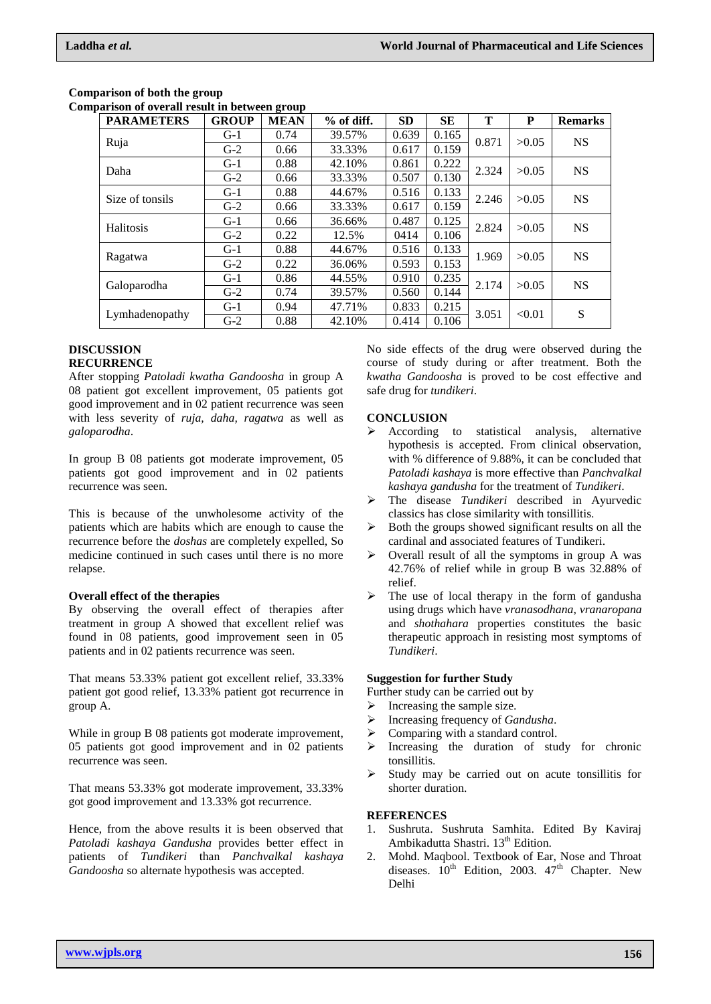| <b>PARAMETERS</b> | <b>GROUP</b> | <b>MEAN</b> | $%$ of diff. | <b>SD</b> | <b>SE</b> | т     | P      | <b>Remarks</b> |
|-------------------|--------------|-------------|--------------|-----------|-----------|-------|--------|----------------|
| Ruja              | $G-1$        | 0.74        | 39.57%       | 0.639     | 0.165     | 0.871 | >0.05  | <b>NS</b>      |
|                   | $G-2$        | 0.66        | 33.33%       | 0.617     | 0.159     |       |        |                |
| Daha              | $G-1$        | 0.88        | 42.10%       | 0.861     | 0.222     | 2.324 | >0.05  | <b>NS</b>      |
|                   | $G-2$        | 0.66        | 33.33%       | 0.507     | 0.130     |       |        |                |
| Size of tonsils   | $G-1$        | 0.88        | 44.67%       | 0.516     | 0.133     | 2.246 | >0.05  | <b>NS</b>      |
|                   | $G-2$        | 0.66        | 33.33%       | 0.617     | 0.159     |       |        |                |
| Halitosis         | $G-1$        | 0.66        | 36.66%       | 0.487     | 0.125     | 2.824 | >0.05  | <b>NS</b>      |
|                   | $G-2$        | 0.22        | 12.5%        | 0414      | 0.106     |       |        |                |
| Ragatwa           | $G-1$        | 0.88        | 44.67%       | 0.516     | 0.133     | 1.969 | >0.05  | <b>NS</b>      |
|                   | $G-2$        | 0.22        | 36.06%       | 0.593     | 0.153     |       |        |                |
| Galoparodha       | $G-1$        | 0.86        | 44.55%       | 0.910     | 0.235     | 2.174 | >0.05  | <b>NS</b>      |
|                   | $G-2$        | 0.74        | 39.57%       | 0.560     | 0.144     |       |        |                |
| Lymhadenopathy    | $G-1$        | 0.94        | 47.71%       | 0.833     | 0.215     | 3.051 | < 0.01 | S              |
|                   | $G-2$        | 0.88        | 42.10%       | 0.414     | 0.106     |       |        |                |

#### **Comparison of both the group Comparison of overall result in between group**

# **DISCUSSION**

# **RECURRENCE**

After stopping *Patoladi kwatha Gandoosha* in group A 08 patient got excellent improvement, 05 patients got good improvement and in 02 patient recurrence was seen with less severity of *ruja, daha, ragatwa* as well as *galoparodha*.

In group B 08 patients got moderate improvement, 05 patients got good improvement and in 02 patients recurrence was seen.

This is because of the unwholesome activity of the patients which are habits which are enough to cause the recurrence before the *doshas* are completely expelled, So medicine continued in such cases until there is no more relapse.

# **Overall effect of the therapies**

By observing the overall effect of therapies after treatment in group A showed that excellent relief was found in 08 patients, good improvement seen in 05 patients and in 02 patients recurrence was seen.

That means 53.33% patient got excellent relief, 33.33% patient got good relief, 13.33% patient got recurrence in group A.

While in group B 08 patients got moderate improvement, 05 patients got good improvement and in 02 patients recurrence was seen.

That means 53.33% got moderate improvement, 33.33% got good improvement and 13.33% got recurrence.

Hence, from the above results it is been observed that *Patoladi kashaya Gandusha* provides better effect in patients of *Tundikeri* than *Panchvalkal kashaya Gandoosha* so alternate hypothesis was accepted.

No side effects of the drug were observed during the course of study during or after treatment. Both the *kwatha Gandoosha* is proved to be cost effective and safe drug for *tundikeri*.

# **CONCLUSION**

- $\triangleright$  According to statistical analysis, alternative hypothesis is accepted. From clinical observation, with % difference of 9.88%, it can be concluded that *Patoladi kashaya* is more effective than *Panchvalkal kashaya gandusha* for the treatment of *Tundikeri*.
- The disease *Tundikeri* described in Ayurvedic classics has close similarity with tonsillitis.
- $\triangleright$  Both the groups showed significant results on all the cardinal and associated features of Tundikeri.
- $\triangleright$  Overall result of all the symptoms in group A was 42.76% of relief while in group B was 32.88% of relief.
- The use of local therapy in the form of gandusha using drugs which have *vranasodhana*, *vranaropana* and *shothahara* properties constitutes the basic therapeutic approach in resisting most symptoms of *Tundikeri*.

# **Suggestion for further Study**

Further study can be carried out by

- $\triangleright$  Increasing the sample size.
- Increasing frequency of *Gandusha*.
- $\triangleright$  Comparing with a standard control.
- $\triangleright$  Increasing the duration of study for chronic tonsillitis.
- $\triangleright$  Study may be carried out on acute tonsillitis for shorter duration.

# **REFERENCES**

- 1. Sushruta. Sushruta Samhita. Edited By Kaviraj Ambikadutta Shastri. 13<sup>th</sup> Edition.
- 2. Mohd. Maqbool. Textbook of Ear, Nose and Throat diseases.  $10^{th}$  Edition, 2003.  $47^{th}$  Chapter. New Delhi